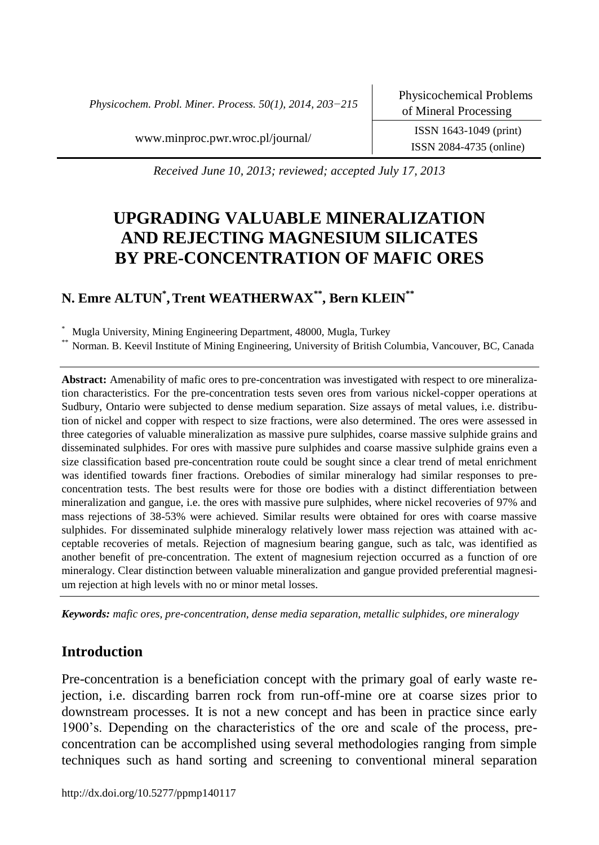*Physicochem. Probl. Miner. Process. 50(1), 2014, 203−215*

ISSN 2084-4735 (online)

[www.minproc.pwr.wroc.pl/journal/](http://www.minproc.pwr.wroc.pl/journal/) ISSN 1643-1049 (print)

*Received June 10, 2013; reviewed; accepted July 17, 2013*

# **UPGRADING VALUABLE MINERALIZATION AND REJECTING MAGNESIUM SILICATES BY PRE-CONCENTRATION OF MAFIC ORES**

# **N. Emre ALTUN\* ,Trent WEATHERWAX\*\*, Bern KLEIN\*\***

Mugla University, Mining Engineering Department, 48000, Mugla, Turkey

Norman. B. Keevil Institute of Mining Engineering, University of British Columbia, Vancouver, BC, Canada

**Abstract:** Amenability of mafic ores to pre-concentration was investigated with respect to ore mineralization characteristics. For the pre-concentration tests seven ores from various nickel-copper operations at Sudbury, Ontario were subjected to dense medium separation. Size assays of metal values, i.e. distribution of nickel and copper with respect to size fractions, were also determined. The ores were assessed in three categories of valuable mineralization as massive pure sulphides, coarse massive sulphide grains and disseminated sulphides. For ores with massive pure sulphides and coarse massive sulphide grains even a size classification based pre-concentration route could be sought since a clear trend of metal enrichment was identified towards finer fractions. Orebodies of similar mineralogy had similar responses to preconcentration tests. The best results were for those ore bodies with a distinct differentiation between mineralization and gangue, i.e. the ores with massive pure sulphides, where nickel recoveries of 97% and mass rejections of 38-53% were achieved. Similar results were obtained for ores with coarse massive sulphides. For disseminated sulphide mineralogy relatively lower mass rejection was attained with acceptable recoveries of metals. Rejection of magnesium bearing gangue, such as talc, was identified as another benefit of pre-concentration. The extent of magnesium rejection occurred as a function of ore mineralogy. Clear distinction between valuable mineralization and gangue provided preferential magnesium rejection at high levels with no or minor metal losses.

*Keywords: mafic ores, pre-concentration, dense media separation, metallic sulphides, ore mineralogy*

## **Introduction**

Pre-concentration is a beneficiation concept with the primary goal of early waste rejection, i.e. discarding barren rock from run-off-mine ore at coarse sizes prior to downstream processes. It is not a new concept and has been in practice since early 1900's. Depending on the characteristics of the ore and scale of the process, preconcentration can be accomplished using several methodologies ranging from simple techniques such as hand sorting and screening to conventional mineral separation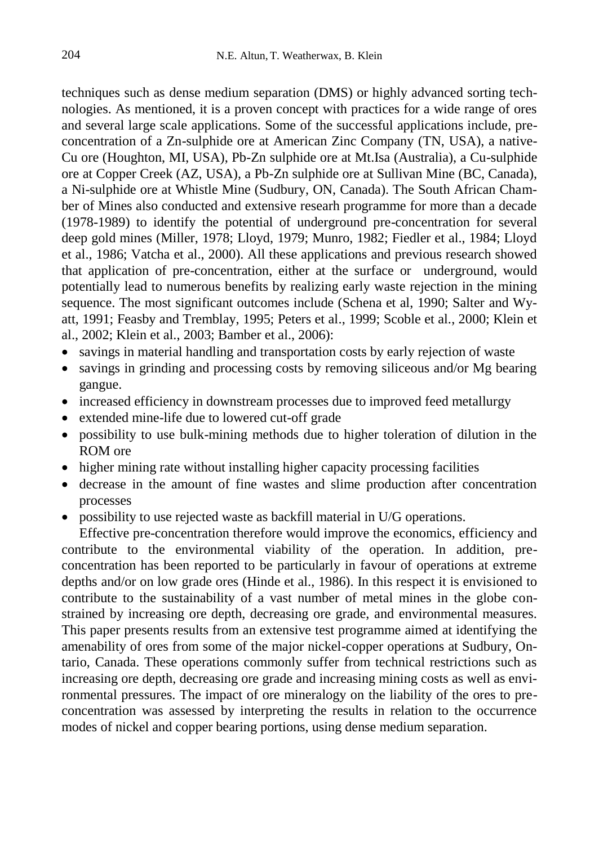techniques such as dense medium separation (DMS) or highly advanced sorting technologies. As mentioned, it is a proven concept with practices for a wide range of ores and several large scale applications. Some of the successful applications include, preconcentration of a Zn-sulphide ore at American Zinc Company (TN, USA), a native-Cu ore (Houghton, MI, USA), Pb-Zn sulphide ore at Mt.Isa (Australia), a Cu-sulphide ore at Copper Creek (AZ, USA), a Pb-Zn sulphide ore at Sullivan Mine (BC, Canada), a Ni-sulphide ore at Whistle Mine (Sudbury, ON, Canada). The South African Chamber of Mines also conducted and extensive researh programme for more than a decade (1978-1989) to identify the potential of underground pre-concentration for several deep gold mines (Miller, 1978; Lloyd, 1979; Munro, 1982; Fiedler et al., 1984; Lloyd et al., 1986; Vatcha et al., 2000). All these applications and previous research showed that application of pre-concentration, either at the surface or underground, would potentially lead to numerous benefits by realizing early waste rejection in the mining sequence. The most significant outcomes include (Schena et al, 1990; Salter and Wyatt, 1991; Feasby and Tremblay, 1995; Peters et al., 1999; Scoble et al., 2000; Klein et al., 2002; Klein et al., 2003; Bamber et al., 2006):

- savings in material handling and transportation costs by early rejection of waste
- savings in grinding and processing costs by removing siliceous and/or Mg bearing gangue.
- increased efficiency in downstream processes due to improved feed metallurgy
- extended mine-life due to lowered cut-off grade
- possibility to use bulk-mining methods due to higher toleration of dilution in the ROM ore
- higher mining rate without installing higher capacity processing facilities
- decrease in the amount of fine wastes and slime production after concentration processes
- possibility to use rejected waste as backfill material in U/G operations.

Effective pre-concentration therefore would improve the economics, efficiency and contribute to the environmental viability of the operation. In addition, preconcentration has been reported to be particularly in favour of operations at extreme depths and/or on low grade ores (Hinde et al., 1986). In this respect it is envisioned to contribute to the sustainability of a vast number of metal mines in the globe constrained by increasing ore depth, decreasing ore grade, and environmental measures. This paper presents results from an extensive test programme aimed at identifying the amenability of ores from some of the major nickel-copper operations at Sudbury, Ontario, Canada. These operations commonly suffer from technical restrictions such as increasing ore depth, decreasing ore grade and increasing mining costs as well as environmental pressures. The impact of ore mineralogy on the liability of the ores to preconcentration was assessed by interpreting the results in relation to the occurrence modes of nickel and copper bearing portions, using dense medium separation.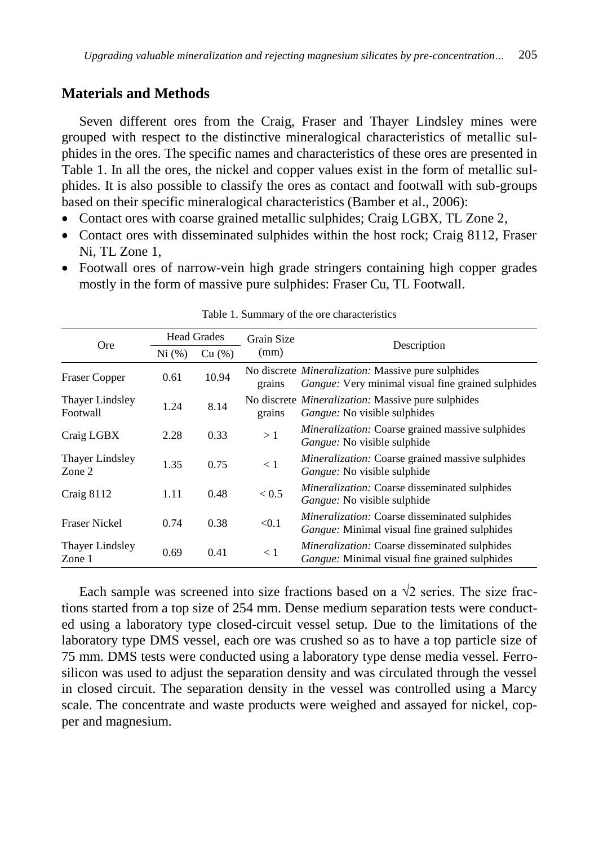### **Materials and Methods**

Seven different ores from the Craig, Fraser and Thayer Lindsley mines were grouped with respect to the distinctive mineralogical characteristics of metallic sulphides in the ores. The specific names and characteristics of these ores are presented in Table 1. In all the ores, the nickel and copper values exist in the form of metallic sulphides. It is also possible to classify the ores as contact and footwall with sub-groups based on their specific mineralogical characteristics (Bamber et al., 2006):

- Contact ores with coarse grained metallic sulphides; Craig LGBX, TL Zone 2,
- Contact ores with disseminated sulphides within the host rock; Craig 8112, Fraser Ni, TL Zone 1,
- Footwall ores of narrow-vein high grade stringers containing high copper grades mostly in the form of massive pure sulphides: Fraser Cu, TL Footwall.

|                                    | <b>Head Grades</b> |        | Grain Size |                                                                                                                  |  |  |  |
|------------------------------------|--------------------|--------|------------|------------------------------------------------------------------------------------------------------------------|--|--|--|
| <b>Ore</b>                         | Ni (%)             | Cu (%) | (mm)       | Description                                                                                                      |  |  |  |
| <b>Fraser Copper</b>               | 0.61               | 10.94  | grains     | No discrete <i>Mineralization</i> : Massive pure sulphides<br>Gangue: Very minimal visual fine grained sulphides |  |  |  |
| <b>Thayer Lindsley</b><br>Footwall | 1.24               | 8.14   | grains     | No discrete <i>Mineralization</i> : Massive pure sulphides<br><i>Gangue:</i> No visible sulphides                |  |  |  |
| Craig LGBX                         | 2.28               | 0.33   | >1         | <i>Mineralization:</i> Coarse grained massive sulphides<br><i>Gangue:</i> No visible sulphide                    |  |  |  |
| <b>Thayer Lindsley</b><br>Zone 2   | 1.35               | 0.75   | < 1        | Mineralization: Coarse grained massive sulphides<br><i>Gangue:</i> No visible sulphide                           |  |  |  |
| Craig 8112                         | 1.11               | 0.48   | < 0.5      | Mineralization: Coarse disseminated sulphides<br><i>Gangue:</i> No visible sulphide                              |  |  |  |
| <b>Fraser Nickel</b>               | 0.74               | 0.38   | < 0.1      | Mineralization: Coarse disseminated sulphides<br><i>Gangue:</i> Minimal visual fine grained sulphides            |  |  |  |
| <b>Thaver Lindsley</b><br>Zone 1   | 0.69               | 0.41   | $\lt 1$    | <i>Mineralization:</i> Coarse disseminated sulphides<br><i>Gangue:</i> Minimal visual fine grained sulphides     |  |  |  |

Table 1. Summary of the ore characteristics

Each sample was screened into size fractions based on a  $\sqrt{2}$  series. The size fractions started from a top size of 254 mm. Dense medium separation tests were conducted using a laboratory type closed-circuit vessel setup. Due to the limitations of the laboratory type DMS vessel, each ore was crushed so as to have a top particle size of 75 mm. DMS tests were conducted using a laboratory type dense media vessel. Ferrosilicon was used to adjust the separation density and was circulated through the vessel in closed circuit. The separation density in the vessel was controlled using a Marcy scale. The concentrate and waste products were weighed and assayed for nickel, copper and magnesium.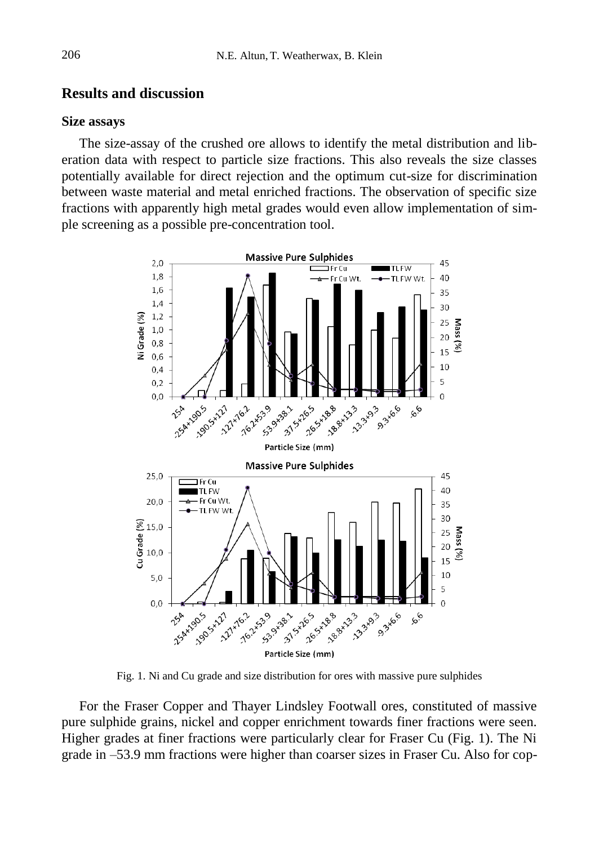### **Results and discussion**

#### **Size assays**

The size-assay of the crushed ore allows to identify the metal distribution and liberation data with respect to particle size fractions. This also reveals the size classes potentially available for direct rejection and the optimum cut-size for discrimination between waste material and metal enriched fractions. The observation of specific size fractions with apparently high metal grades would even allow implementation of simple screening as a possible pre-concentration tool.



Fig. 1. Ni and Cu grade and size distribution for ores with massive pure sulphides

For the Fraser Copper and Thayer Lindsley Footwall ores, constituted of massive pure sulphide grains, nickel and copper enrichment towards finer fractions were seen. Higher grades at finer fractions were particularly clear for Fraser Cu (Fig. 1). The Ni grade in –53.9 mm fractions were higher than coarser sizes in Fraser Cu. Also for cop-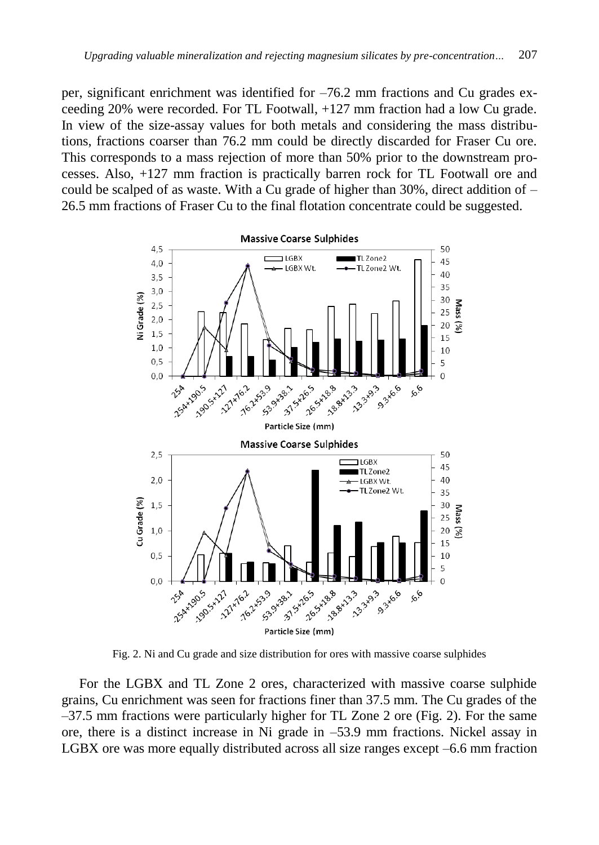per, significant enrichment was identified for –76.2 mm fractions and Cu grades exceeding 20% were recorded. For TL Footwall, +127 mm fraction had a low Cu grade. In view of the size-assay values for both metals and considering the mass distributions, fractions coarser than 76.2 mm could be directly discarded for Fraser Cu ore. This corresponds to a mass rejection of more than 50% prior to the downstream processes. Also, +127 mm fraction is practically barren rock for TL Footwall ore and could be scalped of as waste. With a Cu grade of higher than  $30\%$ , direct addition of  $-$ 26.5 mm fractions of Fraser Cu to the final flotation concentrate could be suggested.



Fig. 2. Ni and Cu grade and size distribution for ores with massive coarse sulphides

For the LGBX and TL Zone 2 ores, characterized with massive coarse sulphide grains, Cu enrichment was seen for fractions finer than 37.5 mm. The Cu grades of the –37.5 mm fractions were particularly higher for TL Zone 2 ore (Fig. 2). For the same ore, there is a distinct increase in Ni grade in –53.9 mm fractions. Nickel assay in LGBX ore was more equally distributed across all size ranges except –6.6 mm fraction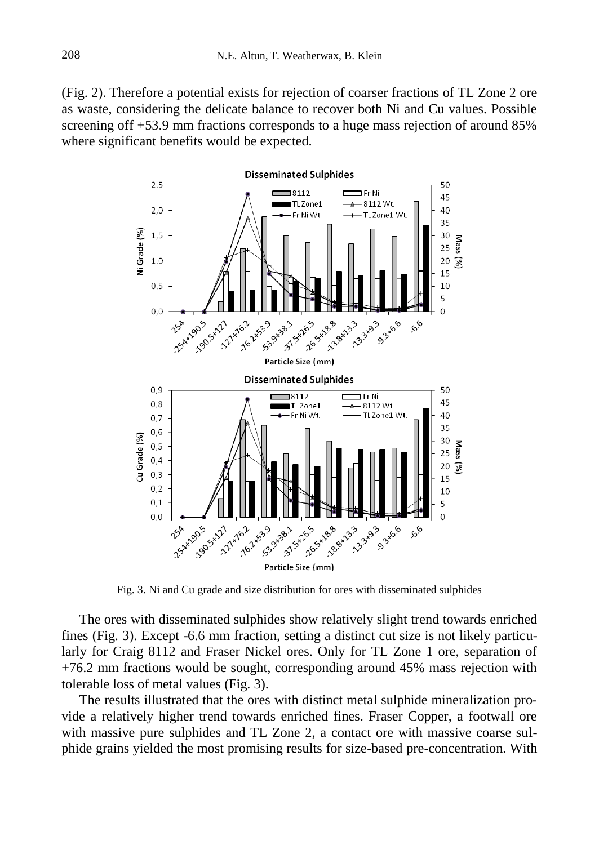(Fig. 2). Therefore a potential exists for rejection of coarser fractions of TL Zone 2 ore as waste, considering the delicate balance to recover both Ni and Cu values. Possible screening off +53.9 mm fractions corresponds to a huge mass rejection of around 85% where significant benefits would be expected.



Fig. 3. Ni and Cu grade and size distribution for ores with disseminated sulphides

The ores with disseminated sulphides show relatively slight trend towards enriched fines (Fig. 3). Except -6.6 mm fraction, setting a distinct cut size is not likely particularly for Craig 8112 and Fraser Nickel ores. Only for TL Zone 1 ore, separation of +76.2 mm fractions would be sought, corresponding around 45% mass rejection with tolerable loss of metal values (Fig. 3).

The results illustrated that the ores with distinct metal sulphide mineralization provide a relatively higher trend towards enriched fines. Fraser Copper, a footwall ore with massive pure sulphides and TL Zone 2, a contact ore with massive coarse sulphide grains yielded the most promising results for size-based pre-concentration. With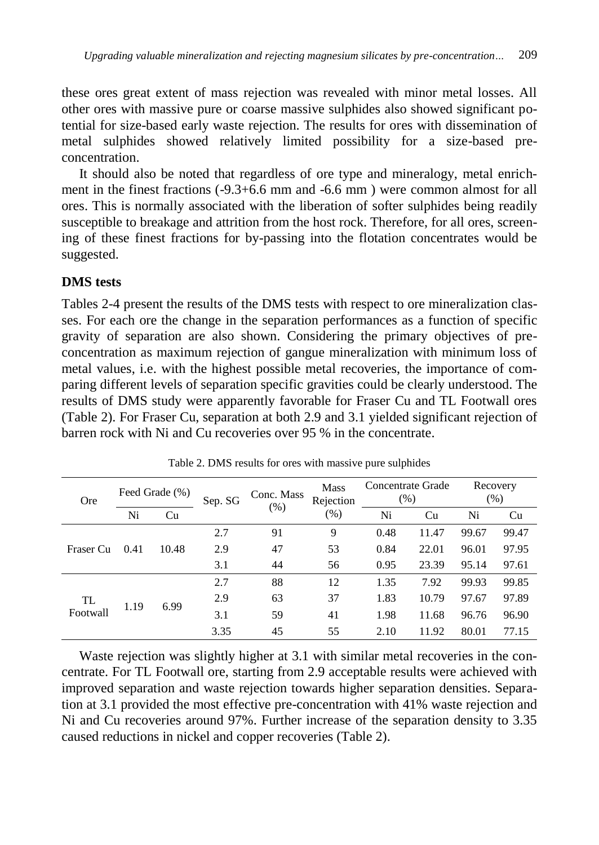these ores great extent of mass rejection was revealed with minor metal losses. All other ores with massive pure or coarse massive sulphides also showed significant potential for size-based early waste rejection. The results for ores with dissemination of metal sulphides showed relatively limited possibility for a size-based preconcentration.

It should also be noted that regardless of ore type and mineralogy, metal enrichment in the finest fractions (-9.3+6.6 mm and -6.6 mm ) were common almost for all ores. This is normally associated with the liberation of softer sulphides being readily susceptible to breakage and attrition from the host rock. Therefore, for all ores, screening of these finest fractions for by-passing into the flotation concentrates would be suggested.

#### **DMS tests**

Tables 2-4 present the results of the DMS tests with respect to ore mineralization classes. For each ore the change in the separation performances as a function of specific gravity of separation are also shown. Considering the primary objectives of preconcentration as maximum rejection of gangue mineralization with minimum loss of metal values, i.e. with the highest possible metal recoveries, the importance of comparing different levels of separation specific gravities could be clearly understood. The results of DMS study were apparently favorable for Fraser Cu and TL Footwall ores (Table 2). For Fraser Cu, separation at both 2.9 and 3.1 yielded significant rejection of barren rock with Ni and Cu recoveries over 95 % in the concentrate.

| <b>Ore</b>     | Feed Grade (%) |       | Sep. SG | Conc. Mass | <b>Mass</b><br>Rejection | Concentrate Grade<br>(% ) |       | Recovery<br>(%) |       |
|----------------|----------------|-------|---------|------------|--------------------------|---------------------------|-------|-----------------|-------|
|                | Ni             | Cu    |         | $(\%)$     | $(\%)$                   | Ni                        | Cu    | Ni              | Cu    |
| Fraser Cu      | 0.41           | 10.48 | 2.7     | 91         | 9                        | 0.48                      | 11.47 | 99.67           | 99.47 |
|                |                |       | 2.9     | 47         | 53                       | 0.84                      | 22.01 | 96.01           | 97.95 |
|                |                |       | 3.1     | 44         | 56                       | 0.95                      | 23.39 | 95.14           | 97.61 |
| TL<br>Footwall | 1.19           | 6.99  | 2.7     | 88         | 12                       | 1.35                      | 7.92  | 99.93           | 99.85 |
|                |                |       | 2.9     | 63         | 37                       | 1.83                      | 10.79 | 97.67           | 97.89 |
|                |                |       | 3.1     | 59         | 41                       | 1.98                      | 11.68 | 96.76           | 96.90 |
|                |                |       | 3.35    | 45         | 55                       | 2.10                      | 11.92 | 80.01           | 77.15 |

Table 2. DMS results for ores with massive pure sulphides

Waste rejection was slightly higher at 3.1 with similar metal recoveries in the concentrate. For TL Footwall ore, starting from 2.9 acceptable results were achieved with improved separation and waste rejection towards higher separation densities. Separation at 3.1 provided the most effective pre-concentration with 41% waste rejection and Ni and Cu recoveries around 97%. Further increase of the separation density to 3.35 caused reductions in nickel and copper recoveries (Table 2).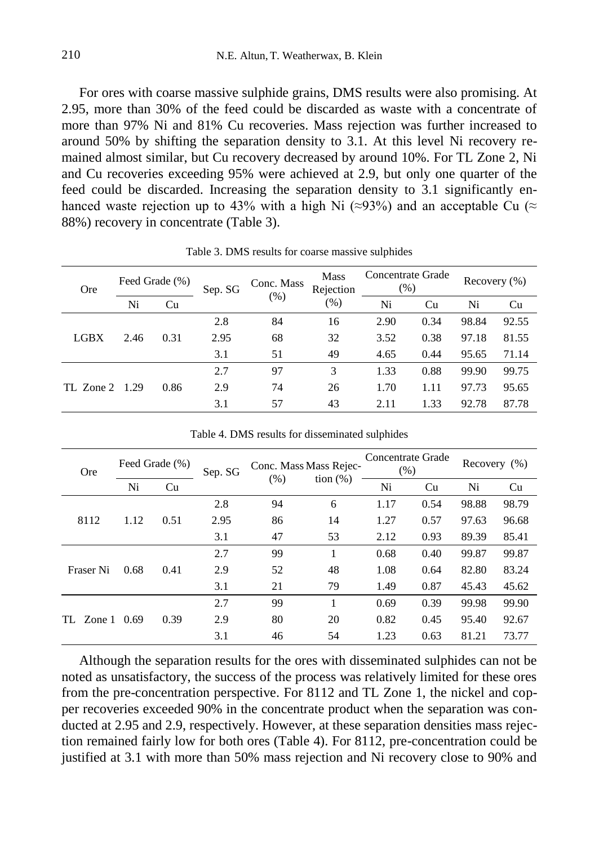For ores with coarse massive sulphide grains, DMS results were also promising. At 2.95, more than 30% of the feed could be discarded as waste with a concentrate of more than 97% Ni and 81% Cu recoveries. Mass rejection was further increased to around 50% by shifting the separation density to 3.1. At this level Ni recovery remained almost similar, but Cu recovery decreased by around 10%. For TL Zone 2, Ni and Cu recoveries exceeding 95% were achieved at 2.9, but only one quarter of the feed could be discarded. Increasing the separation density to 3.1 significantly enhanced waste rejection up to 43% with a high Ni (≈93%) and an acceptable Cu (≈ 88%) recovery in concentrate (Table 3).

| <b>Ore</b>  | Feed Grade (%) |      | Sep. SG | Conc. Mass | <b>Mass</b><br>Rejection | Concentrate Grade<br>(% ) |      | Recovery (%) |       |
|-------------|----------------|------|---------|------------|--------------------------|---------------------------|------|--------------|-------|
|             | Ni             | Cu   |         | (% )       | $(\%)$                   | Ni                        | Cu   | Ni           | Cu    |
| <b>LGBX</b> | 2.46           | 0.31 | 2.8     | 84         | 16                       | 2.90                      | 0.34 | 98.84        | 92.55 |
|             |                |      | 2.95    | 68         | 32                       | 3.52                      | 0.38 | 97.18        | 81.55 |
|             |                |      | 3.1     | 51         | 49                       | 4.65                      | 0.44 | 95.65        | 71.14 |
| TL Zone 2   | 1.29           | 0.86 | 2.7     | 97         | 3                        | 1.33                      | 0.88 | 99.90        | 99.75 |
|             |                |      | 2.9     | 74         | 26                       | 1.70                      | 1.11 | 97.73        | 95.65 |
|             |                |      | 3.1     | 57         | 43                       | 2.11                      | 1.33 | 92.78        | 87.78 |

Table 3. DMS results for coarse massive sulphides

| <b>Ore</b> | Feed Grade (%) |      | Sep. SG | Conc. Mass Mass Rejec- |             | Concentrate Grade<br>(% ) |      | Recovery $(\%)$ |       |
|------------|----------------|------|---------|------------------------|-------------|---------------------------|------|-----------------|-------|
|            | Ni             | Cu   |         | (% )                   | tion $(\%)$ | Ni                        | Cu   | Ni              | Cu    |
| 8112       | 1.12           | 0.51 | 2.8     | 94                     | 6           | 1.17                      | 0.54 | 98.88           | 98.79 |
|            |                |      | 2.95    | 86                     | 14          | 1.27                      | 0.57 | 97.63           | 96.68 |
|            |                |      | 3.1     | 47                     | 53          | 2.12                      | 0.93 | 89.39           | 85.41 |
| Fraser Ni  | 0.68           | 0.41 | 2.7     | 99                     | 1           | 0.68                      | 0.40 | 99.87           | 99.87 |
|            |                |      | 2.9     | 52                     | 48          | 1.08                      | 0.64 | 82.80           | 83.24 |
|            |                |      | 3.1     | 21                     | 79          | 1.49                      | 0.87 | 45.43           | 45.62 |
| TL Zone 1  | 0.69           | 0.39 | 2.7     | 99                     |             | 0.69                      | 0.39 | 99.98           | 99.90 |
|            |                |      | 2.9     | 80                     | 20          | 0.82                      | 0.45 | 95.40           | 92.67 |
|            |                |      | 3.1     | 46                     | 54          | 1.23                      | 0.63 | 81.21           | 73.77 |

Table 4. DMS results for disseminated sulphides

Although the separation results for the ores with disseminated sulphides can not be noted as unsatisfactory, the success of the process was relatively limited for these ores from the pre-concentration perspective. For 8112 and TL Zone 1, the nickel and copper recoveries exceeded 90% in the concentrate product when the separation was conducted at 2.95 and 2.9, respectively. However, at these separation densities mass rejection remained fairly low for both ores (Table 4). For 8112, pre-concentration could be justified at 3.1 with more than 50% mass rejection and Ni recovery close to 90% and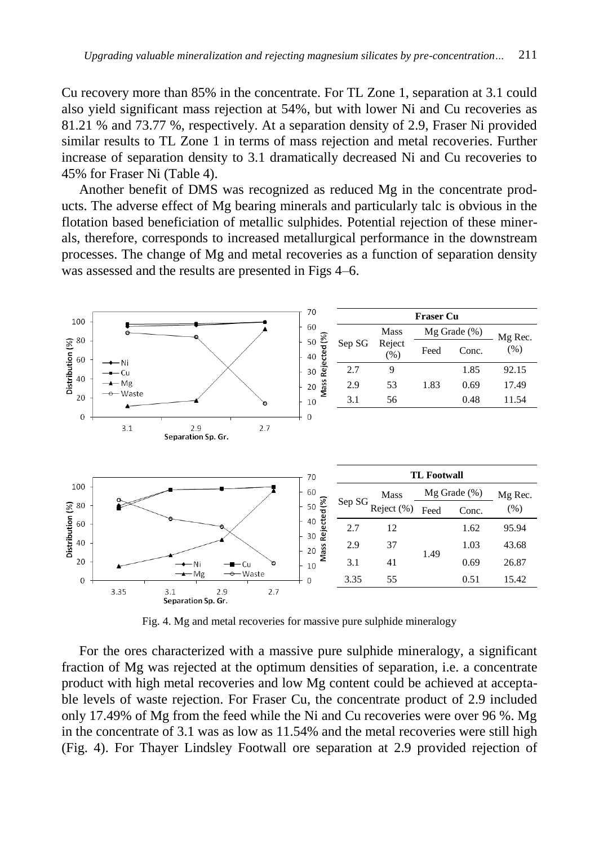Cu recovery more than 85% in the concentrate. For TL Zone 1, separation at 3.1 could also yield significant mass rejection at 54%, but with lower Ni and Cu recoveries as 81.21 % and 73.77 %, respectively. At a separation density of 2.9, Fraser Ni provided similar results to TL Zone 1 in terms of mass rejection and metal recoveries. Further increase of separation density to 3.1 dramatically decreased Ni and Cu recoveries to 45% for Fraser Ni (Table 4).

Another benefit of DMS was recognized as reduced Mg in the concentrate products. The adverse effect of Mg bearing minerals and particularly talc is obvious in the flotation based beneficiation of metallic sulphides. Potential rejection of these minerals, therefore, corresponds to increased metallurgical performance in the downstream processes. The change of Mg and metal recoveries as a function of separation density was assessed and the results are presented in Figs 4–6.



Fig. 4. Mg and metal recoveries for massive pure sulphide mineralogy

For the ores characterized with a massive pure sulphide mineralogy, a significant fraction of Mg was rejected at the optimum densities of separation, i.e. a concentrate product with high metal recoveries and low Mg content could be achieved at acceptable levels of waste rejection. For Fraser Cu, the concentrate product of 2.9 included only 17.49% of Mg from the feed while the Ni and Cu recoveries were over 96 %. Mg in the concentrate of 3.1 was as low as 11.54% and the metal recoveries were still high (Fig. 4). For Thayer Lindsley Footwall ore separation at 2.9 provided rejection of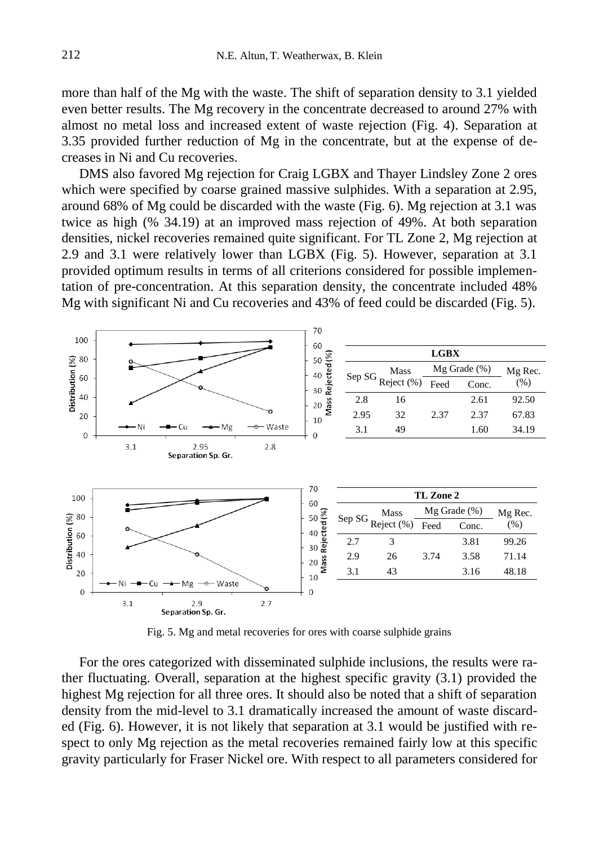more than half of the Mg with the waste. The shift of separation density to 3.1 yielded even better results. The Mg recovery in the concentrate decreased to around 27% with almost no metal loss and increased extent of waste rejection (Fig. 4). Separation at 3.35 provided further reduction of Mg in the concentrate, but at the expense of decreases in Ni and Cu recoveries.

DMS also favored Mg rejection for Craig LGBX and Thayer Lindsley Zone 2 ores which were specified by coarse grained massive sulphides. With a separation at 2.95, around 68% of Mg could be discarded with the waste (Fig. 6). Mg rejection at 3.1 was twice as high (% 34.19) at an improved mass rejection of 49%. At both separation densities, nickel recoveries remained quite significant. For TL Zone 2, Mg rejection at 2.9 and 3.1 were relatively lower than LGBX (Fig. 5). However, separation at 3.1 provided optimum results in terms of all criterions considered for possible implementation of pre-concentration. At this separation density, the concentrate included 48% Mg with significant Ni and Cu recoveries and 43% of feed could be discarded (Fig. 5).



Fig. 5. Mg and metal recoveries for ores with coarse sulphide grains

For the ores categorized with disseminated sulphide inclusions, the results were rather fluctuating. Overall, separation at the highest specific gravity (3.1) provided the highest Mg rejection for all three ores. It should also be noted that a shift of separation density from the mid-level to 3.1 dramatically increased the amount of waste discarded (Fig. 6). However, it is not likely that separation at 3.1 would be justified with respect to only Mg rejection as the metal recoveries remained fairly low at this specific gravity particularly for Fraser Nickel ore. With respect to all parameters considered for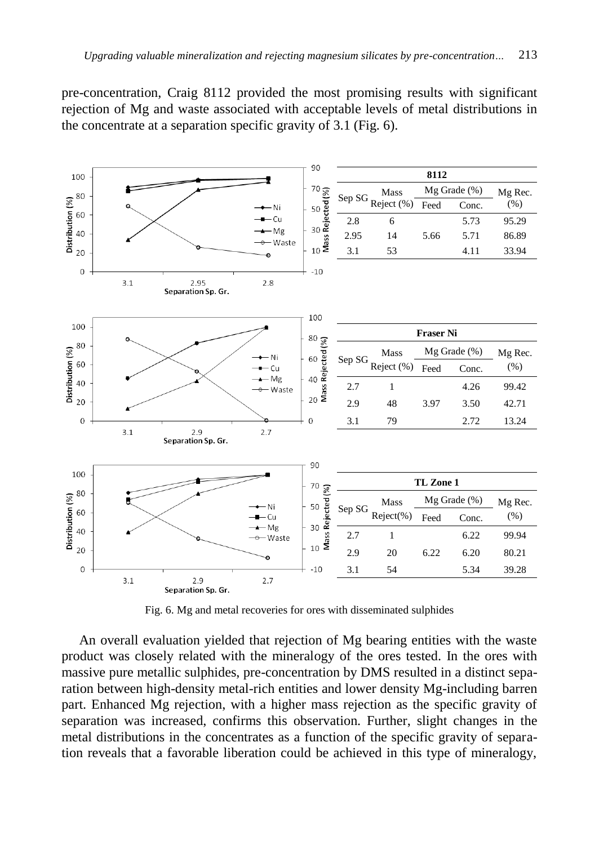pre-concentration, Craig 8112 provided the most promising results with significant rejection of Mg and waste associated with acceptable levels of metal distributions in the concentrate at a separation specific gravity of 3.1 (Fig. 6).



Fig. 6. Mg and metal recoveries for ores with disseminated sulphides

An overall evaluation yielded that rejection of Mg bearing entities with the waste product was closely related with the mineralogy of the ores tested. In the ores with massive pure metallic sulphides, pre-concentration by DMS resulted in a distinct separation between high-density metal-rich entities and lower density Mg-including barren part. Enhanced Mg rejection, with a higher mass rejection as the specific gravity of separation was increased, confirms this observation. Further, slight changes in the metal distributions in the concentrates as a function of the specific gravity of separation reveals that a favorable liberation could be achieved in this type of mineralogy,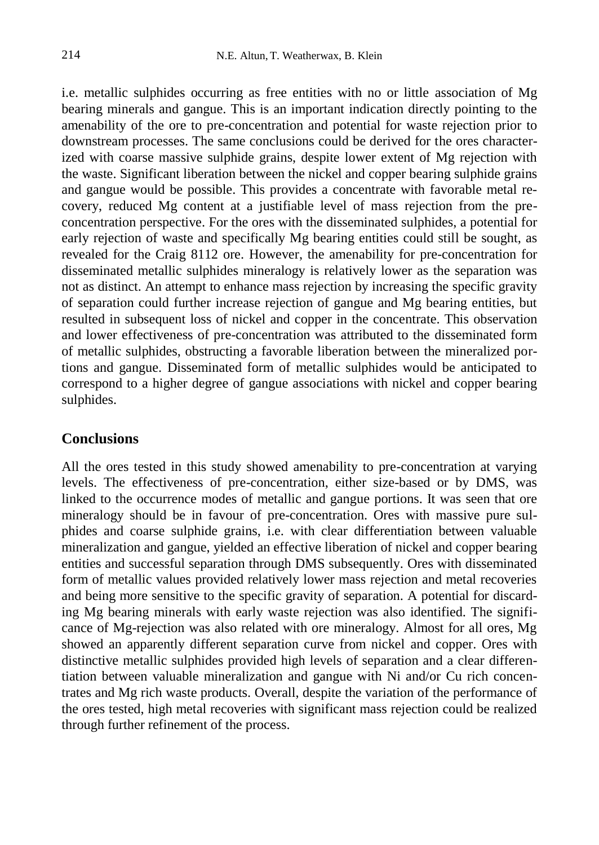i.e. metallic sulphides occurring as free entities with no or little association of Mg bearing minerals and gangue. This is an important indication directly pointing to the amenability of the ore to pre-concentration and potential for waste rejection prior to downstream processes. The same conclusions could be derived for the ores characterized with coarse massive sulphide grains, despite lower extent of Mg rejection with the waste. Significant liberation between the nickel and copper bearing sulphide grains and gangue would be possible. This provides a concentrate with favorable metal recovery, reduced Mg content at a justifiable level of mass rejection from the preconcentration perspective. For the ores with the disseminated sulphides, a potential for early rejection of waste and specifically Mg bearing entities could still be sought, as revealed for the Craig 8112 ore. However, the amenability for pre-concentration for disseminated metallic sulphides mineralogy is relatively lower as the separation was not as distinct. An attempt to enhance mass rejection by increasing the specific gravity of separation could further increase rejection of gangue and Mg bearing entities, but resulted in subsequent loss of nickel and copper in the concentrate. This observation and lower effectiveness of pre-concentration was attributed to the disseminated form of metallic sulphides, obstructing a favorable liberation between the mineralized portions and gangue. Disseminated form of metallic sulphides would be anticipated to correspond to a higher degree of gangue associations with nickel and copper bearing sulphides.

## **Conclusions**

All the ores tested in this study showed amenability to pre-concentration at varying levels. The effectiveness of pre-concentration, either size-based or by DMS, was linked to the occurrence modes of metallic and gangue portions. It was seen that ore mineralogy should be in favour of pre-concentration. Ores with massive pure sulphides and coarse sulphide grains, i.e. with clear differentiation between valuable mineralization and gangue, yielded an effective liberation of nickel and copper bearing entities and successful separation through DMS subsequently. Ores with disseminated form of metallic values provided relatively lower mass rejection and metal recoveries and being more sensitive to the specific gravity of separation. A potential for discarding Mg bearing minerals with early waste rejection was also identified. The significance of Mg-rejection was also related with ore mineralogy. Almost for all ores, Mg showed an apparently different separation curve from nickel and copper. Ores with distinctive metallic sulphides provided high levels of separation and a clear differentiation between valuable mineralization and gangue with Ni and/or Cu rich concentrates and Mg rich waste products. Overall, despite the variation of the performance of the ores tested, high metal recoveries with significant mass rejection could be realized through further refinement of the process.